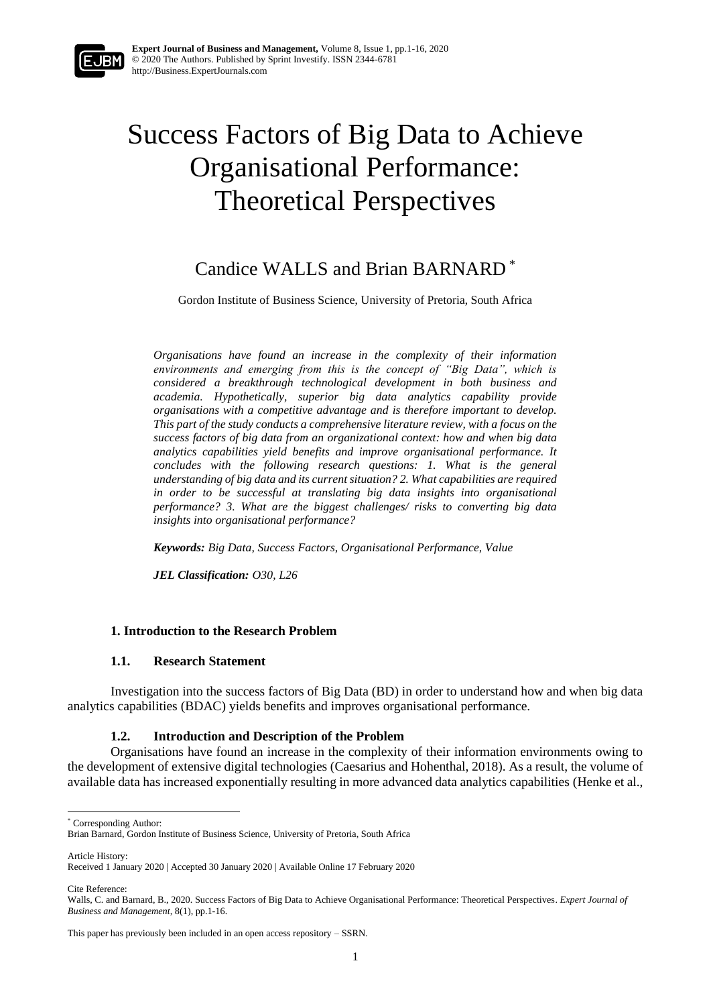# Success Factors of Big Data to Achieve Organisational Performance: Theoretical Perspectives

# Candice WALLS and Brian BARNARD \*

Gordon Institute of Business Science, University of Pretoria, South Africa

*Organisations have found an increase in the complexity of their information environments and emerging from this is the concept of "Big Data", which is considered a breakthrough technological development in both business and academia. Hypothetically, superior big data analytics capability provide organisations with a competitive advantage and is therefore important to develop. This part of the study conducts a comprehensive literature review, with a focus on the success factors of big data from an organizational context: how and when big data analytics capabilities yield benefits and improve organisational performance. It concludes with the following research questions: 1. What is the general understanding of big data and its current situation? 2. What capabilities are required in order to be successful at translating big data insights into organisational performance? 3. What are the biggest challenges/ risks to converting big data insights into organisational performance?*

*Keywords: Big Data, Success Factors, Organisational Performance, Value*

*JEL Classification: O30, L26*

#### **1. Introduction to the Research Problem**

#### **1.1. Research Statement**

Investigation into the success factors of Big Data (BD) in order to understand how and when big data analytics capabilities (BDAC) yields benefits and improves organisational performance.

#### **1.2. Introduction and Description of the Problem**

Organisations have found an increase in the complexity of their information environments owing to the development of extensive digital technologies (Caesarius and Hohenthal, 2018). As a result, the volume of available data has increased exponentially resulting in more advanced data analytics capabilities (Henke et al.,

Article History:

Cite Reference:

<sup>\*</sup> Corresponding Author:

Brian Barnard, Gordon Institute of Business Science, University of Pretoria, South Africa

Received 1 January 2020 | Accepted 30 January 2020 | Available Online 17 February 2020

Walls, C. and Barnard, B., 2020. Success Factors of Big Data to Achieve Organisational Performance: Theoretical Perspectives. *Expert Journal of Business and Management,* 8(1), pp.1-16.

This paper has previously been included in an open access repository – SSRN.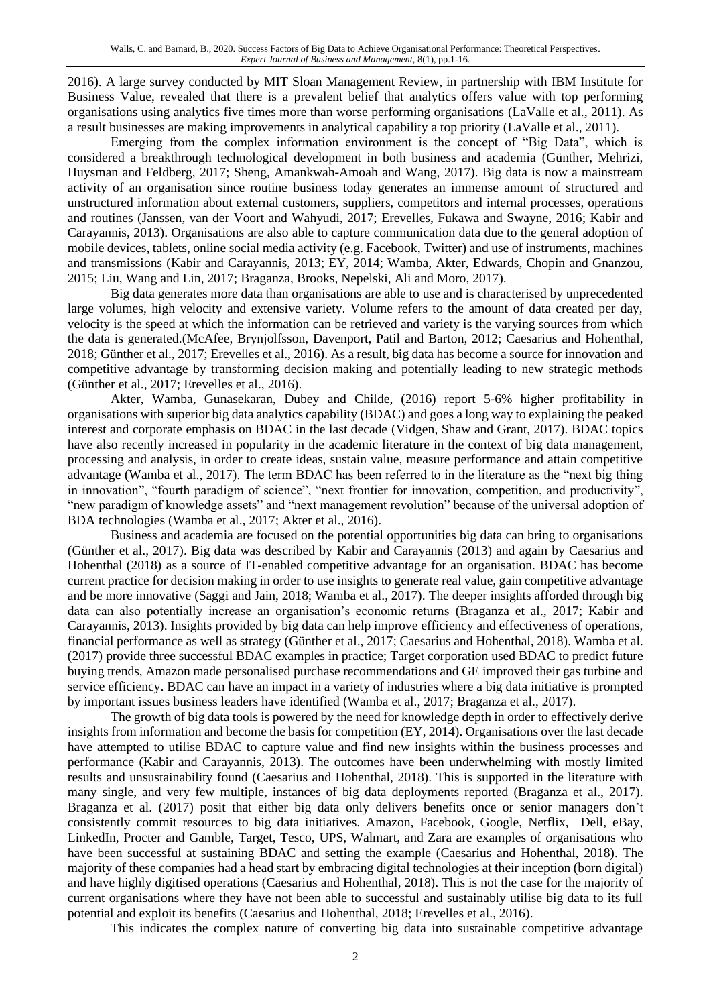2016). A large survey conducted by MIT Sloan Management Review, in partnership with IBM Institute for Business Value, revealed that there is a prevalent belief that analytics offers value with top performing organisations using analytics five times more than worse performing organisations (LaValle et al., 2011). As a result businesses are making improvements in analytical capability a top priority (LaValle et al., 2011).

Emerging from the complex information environment is the concept of "Big Data", which is considered a breakthrough technological development in both business and academia (Günther, Mehrizi, Huysman and Feldberg, 2017; Sheng, Amankwah-Amoah and Wang, 2017). Big data is now a mainstream activity of an organisation since routine business today generates an immense amount of structured and unstructured information about external customers, suppliers, competitors and internal processes, operations and routines (Janssen, van der Voort and Wahyudi, 2017; Erevelles, Fukawa and Swayne, 2016; Kabir and Carayannis, 2013). Organisations are also able to capture communication data due to the general adoption of mobile devices, tablets, online social media activity (e.g. Facebook, Twitter) and use of instruments, machines and transmissions (Kabir and Carayannis, 2013; EY, 2014; Wamba, Akter, Edwards, Chopin and Gnanzou, 2015; Liu, Wang and Lin, 2017; Braganza, Brooks, Nepelski, Ali and Moro, 2017).

Big data generates more data than organisations are able to use and is characterised by unprecedented large volumes, high velocity and extensive variety. Volume refers to the amount of data created per day, velocity is the speed at which the information can be retrieved and variety is the varying sources from which the data is generated.(McAfee, Brynjolfsson, Davenport, Patil and Barton, 2012; Caesarius and Hohenthal, 2018; Günther et al., 2017; Erevelles et al., 2016). As a result, big data has become a source for innovation and competitive advantage by transforming decision making and potentially leading to new strategic methods (Günther et al., 2017; Erevelles et al., 2016).

Akter, Wamba, Gunasekaran, Dubey and Childe, (2016) report 5-6% higher profitability in organisations with superior big data analytics capability (BDAC) and goes a long way to explaining the peaked interest and corporate emphasis on BDAC in the last decade (Vidgen, Shaw and Grant, 2017). BDAC topics have also recently increased in popularity in the academic literature in the context of big data management, processing and analysis, in order to create ideas, sustain value, measure performance and attain competitive advantage (Wamba et al., 2017). The term BDAC has been referred to in the literature as the "next big thing in innovation", "fourth paradigm of science", "next frontier for innovation, competition, and productivity", "new paradigm of knowledge assets" and "next management revolution" because of the universal adoption of BDA technologies (Wamba et al., 2017; Akter et al., 2016).

Business and academia are focused on the potential opportunities big data can bring to organisations (Günther et al., 2017). Big data was described by Kabir and Carayannis (2013) and again by Caesarius and Hohenthal (2018) as a source of IT-enabled competitive advantage for an organisation. BDAC has become current practice for decision making in order to use insights to generate real value, gain competitive advantage and be more innovative (Saggi and Jain, 2018; Wamba et al., 2017). The deeper insights afforded through big data can also potentially increase an organisation's economic returns (Braganza et al., 2017; Kabir and Carayannis, 2013). Insights provided by big data can help improve efficiency and effectiveness of operations, financial performance as well as strategy (Günther et al., 2017; Caesarius and Hohenthal, 2018). Wamba et al. (2017) provide three successful BDAC examples in practice; Target corporation used BDAC to predict future buying trends, Amazon made personalised purchase recommendations and GE improved their gas turbine and service efficiency. BDAC can have an impact in a variety of industries where a big data initiative is prompted by important issues business leaders have identified (Wamba et al., 2017; Braganza et al., 2017).

The growth of big data tools is powered by the need for knowledge depth in order to effectively derive insights from information and become the basis for competition (EY, 2014). Organisations over the last decade have attempted to utilise BDAC to capture value and find new insights within the business processes and performance (Kabir and Carayannis, 2013). The outcomes have been underwhelming with mostly limited results and unsustainability found (Caesarius and Hohenthal, 2018). This is supported in the literature with many single, and very few multiple, instances of big data deployments reported (Braganza et al., 2017). Braganza et al. (2017) posit that either big data only delivers benefits once or senior managers don't consistently commit resources to big data initiatives. Amazon, Facebook, Google, Netflix, Dell, eBay, LinkedIn, Procter and Gamble, Target, Tesco, UPS, Walmart, and Zara are examples of organisations who have been successful at sustaining BDAC and setting the example (Caesarius and Hohenthal, 2018). The majority of these companies had a head start by embracing digital technologies at their inception (born digital) and have highly digitised operations (Caesarius and Hohenthal, 2018). This is not the case for the majority of current organisations where they have not been able to successful and sustainably utilise big data to its full potential and exploit its benefits (Caesarius and Hohenthal, 2018; Erevelles et al., 2016).

This indicates the complex nature of converting big data into sustainable competitive advantage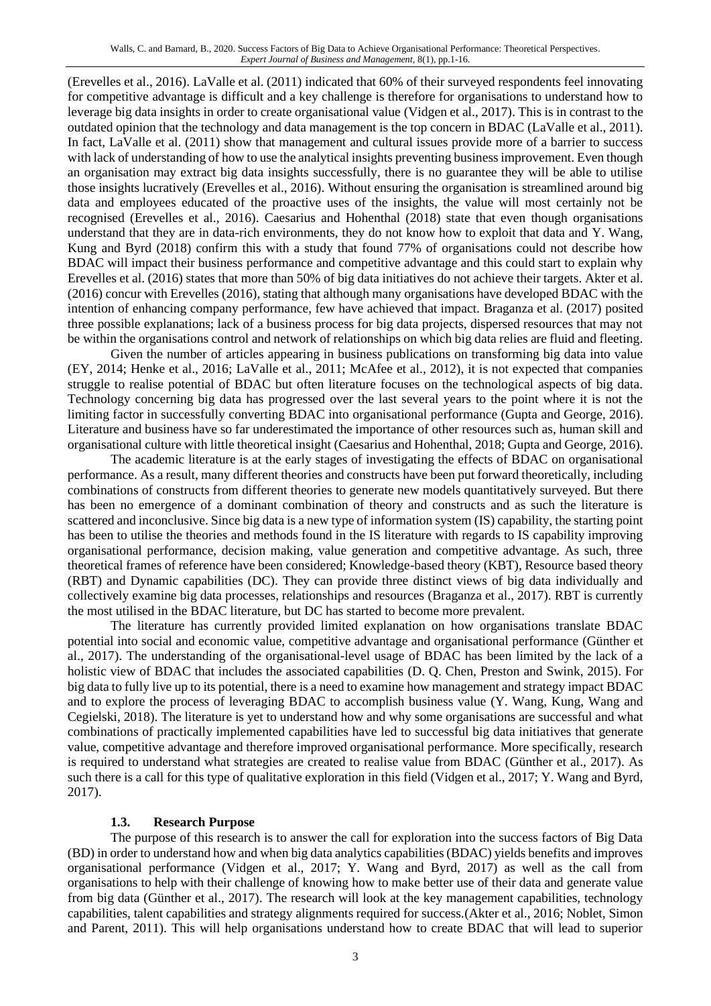(Erevelles et al., 2016). LaValle et al. (2011) indicated that 60% of their surveyed respondents feel innovating for competitive advantage is difficult and a key challenge is therefore for organisations to understand how to leverage big data insights in order to create organisational value (Vidgen et al., 2017). This is in contrast to the outdated opinion that the technology and data management is the top concern in BDAC (LaValle et al., 2011). In fact, LaValle et al. (2011) show that management and cultural issues provide more of a barrier to success with lack of understanding of how to use the analytical insights preventing business improvement. Even though an organisation may extract big data insights successfully, there is no guarantee they will be able to utilise those insights lucratively (Erevelles et al., 2016). Without ensuring the organisation is streamlined around big data and employees educated of the proactive uses of the insights, the value will most certainly not be recognised (Erevelles et al., 2016). Caesarius and Hohenthal (2018) state that even though organisations understand that they are in data-rich environments, they do not know how to exploit that data and Y. Wang, Kung and Byrd (2018) confirm this with a study that found 77% of organisations could not describe how BDAC will impact their business performance and competitive advantage and this could start to explain why Erevelles et al. (2016) states that more than 50% of big data initiatives do not achieve their targets. Akter et al. (2016) concur with Erevelles (2016), stating that although many organisations have developed BDAC with the intention of enhancing company performance, few have achieved that impact. Braganza et al. (2017) posited three possible explanations; lack of a business process for big data projects, dispersed resources that may not be within the organisations control and network of relationships on which big data relies are fluid and fleeting.

Given the number of articles appearing in business publications on transforming big data into value (EY, 2014; Henke et al., 2016; LaValle et al., 2011; McAfee et al., 2012), it is not expected that companies struggle to realise potential of BDAC but often literature focuses on the technological aspects of big data. Technology concerning big data has progressed over the last several years to the point where it is not the limiting factor in successfully converting BDAC into organisational performance (Gupta and George, 2016). Literature and business have so far underestimated the importance of other resources such as, human skill and organisational culture with little theoretical insight (Caesarius and Hohenthal, 2018; Gupta and George, 2016).

The academic literature is at the early stages of investigating the effects of BDAC on organisational performance. As a result, many different theories and constructs have been put forward theoretically, including combinations of constructs from different theories to generate new models quantitatively surveyed. But there has been no emergence of a dominant combination of theory and constructs and as such the literature is scattered and inconclusive. Since big data is a new type of information system (IS) capability, the starting point has been to utilise the theories and methods found in the IS literature with regards to IS capability improving organisational performance, decision making, value generation and competitive advantage. As such, three theoretical frames of reference have been considered; Knowledge-based theory (KBT), Resource based theory (RBT) and Dynamic capabilities (DC). They can provide three distinct views of big data individually and collectively examine big data processes, relationships and resources (Braganza et al., 2017). RBT is currently the most utilised in the BDAC literature, but DC has started to become more prevalent.

The literature has currently provided limited explanation on how organisations translate BDAC potential into social and economic value, competitive advantage and organisational performance (Günther et al., 2017). The understanding of the organisational-level usage of BDAC has been limited by the lack of a holistic view of BDAC that includes the associated capabilities (D. Q. Chen, Preston and Swink, 2015). For big data to fully live up to its potential, there is a need to examine how management and strategy impact BDAC and to explore the process of leveraging BDAC to accomplish business value (Y. Wang, Kung, Wang and Cegielski, 2018). The literature is yet to understand how and why some organisations are successful and what combinations of practically implemented capabilities have led to successful big data initiatives that generate value, competitive advantage and therefore improved organisational performance. More specifically, research is required to understand what strategies are created to realise value from BDAC (Günther et al., 2017). As such there is a call for this type of qualitative exploration in this field (Vidgen et al., 2017; Y. Wang and Byrd, 2017).

# **1.3. Research Purpose**

The purpose of this research is to answer the call for exploration into the success factors of Big Data (BD) in order to understand how and when big data analytics capabilities (BDAC) yields benefits and improves organisational performance (Vidgen et al., 2017; Y. Wang and Byrd, 2017) as well as the call from organisations to help with their challenge of knowing how to make better use of their data and generate value from big data (Günther et al., 2017). The research will look at the key management capabilities, technology capabilities, talent capabilities and strategy alignments required for success.(Akter et al., 2016; Noblet, Simon and Parent, 2011). This will help organisations understand how to create BDAC that will lead to superior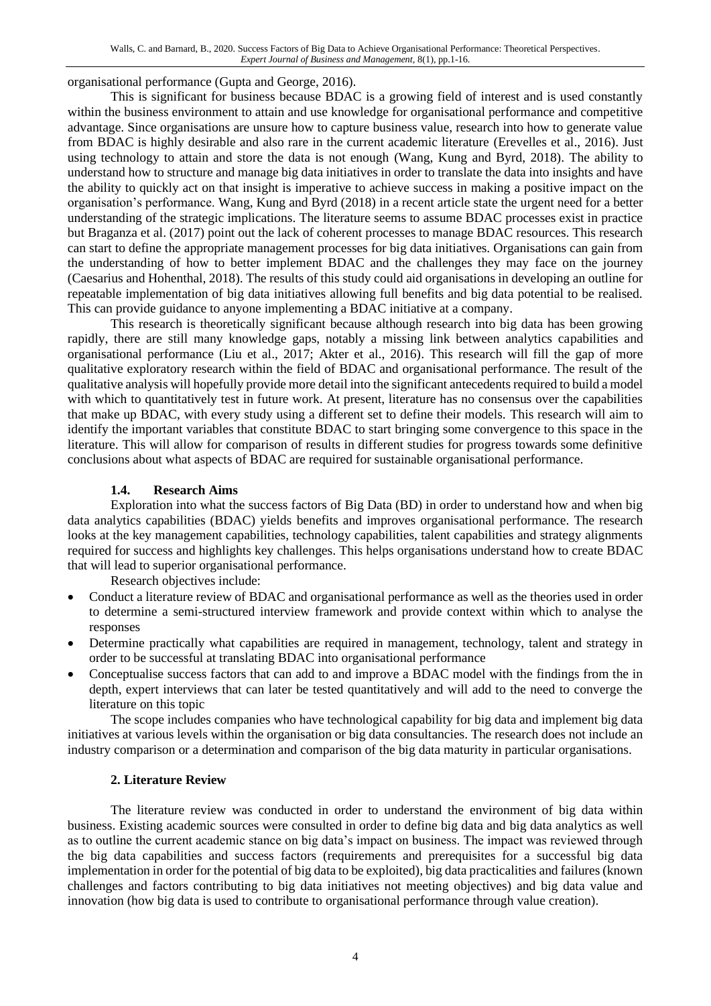organisational performance (Gupta and George, 2016).

This is significant for business because BDAC is a growing field of interest and is used constantly within the business environment to attain and use knowledge for organisational performance and competitive advantage. Since organisations are unsure how to capture business value, research into how to generate value from BDAC is highly desirable and also rare in the current academic literature (Erevelles et al., 2016). Just using technology to attain and store the data is not enough (Wang, Kung and Byrd, 2018). The ability to understand how to structure and manage big data initiatives in order to translate the data into insights and have the ability to quickly act on that insight is imperative to achieve success in making a positive impact on the organisation's performance. Wang, Kung and Byrd (2018) in a recent article state the urgent need for a better understanding of the strategic implications. The literature seems to assume BDAC processes exist in practice but Braganza et al. (2017) point out the lack of coherent processes to manage BDAC resources. This research can start to define the appropriate management processes for big data initiatives. Organisations can gain from the understanding of how to better implement BDAC and the challenges they may face on the journey (Caesarius and Hohenthal, 2018). The results of this study could aid organisations in developing an outline for repeatable implementation of big data initiatives allowing full benefits and big data potential to be realised. This can provide guidance to anyone implementing a BDAC initiative at a company.

This research is theoretically significant because although research into big data has been growing rapidly, there are still many knowledge gaps, notably a missing link between analytics capabilities and organisational performance (Liu et al., 2017; Akter et al., 2016). This research will fill the gap of more qualitative exploratory research within the field of BDAC and organisational performance. The result of the qualitative analysis will hopefully provide more detail into the significant antecedents required to build a model with which to quantitatively test in future work. At present, literature has no consensus over the capabilities that make up BDAC, with every study using a different set to define their models. This research will aim to identify the important variables that constitute BDAC to start bringing some convergence to this space in the literature. This will allow for comparison of results in different studies for progress towards some definitive conclusions about what aspects of BDAC are required for sustainable organisational performance.

#### **1.4. Research Aims**

Exploration into what the success factors of Big Data (BD) in order to understand how and when big data analytics capabilities (BDAC) yields benefits and improves organisational performance. The research looks at the key management capabilities, technology capabilities, talent capabilities and strategy alignments required for success and highlights key challenges. This helps organisations understand how to create BDAC that will lead to superior organisational performance.

Research objectives include:

- Conduct a literature review of BDAC and organisational performance as well as the theories used in order to determine a semi-structured interview framework and provide context within which to analyse the responses
- Determine practically what capabilities are required in management, technology, talent and strategy in order to be successful at translating BDAC into organisational performance
- Conceptualise success factors that can add to and improve a BDAC model with the findings from the in depth, expert interviews that can later be tested quantitatively and will add to the need to converge the literature on this topic

The scope includes companies who have technological capability for big data and implement big data initiatives at various levels within the organisation or big data consultancies. The research does not include an industry comparison or a determination and comparison of the big data maturity in particular organisations.

#### **2. Literature Review**

The literature review was conducted in order to understand the environment of big data within business. Existing academic sources were consulted in order to define big data and big data analytics as well as to outline the current academic stance on big data's impact on business. The impact was reviewed through the big data capabilities and success factors (requirements and prerequisites for a successful big data implementation in order for the potential of big data to be exploited), big data practicalities and failures (known challenges and factors contributing to big data initiatives not meeting objectives) and big data value and innovation (how big data is used to contribute to organisational performance through value creation).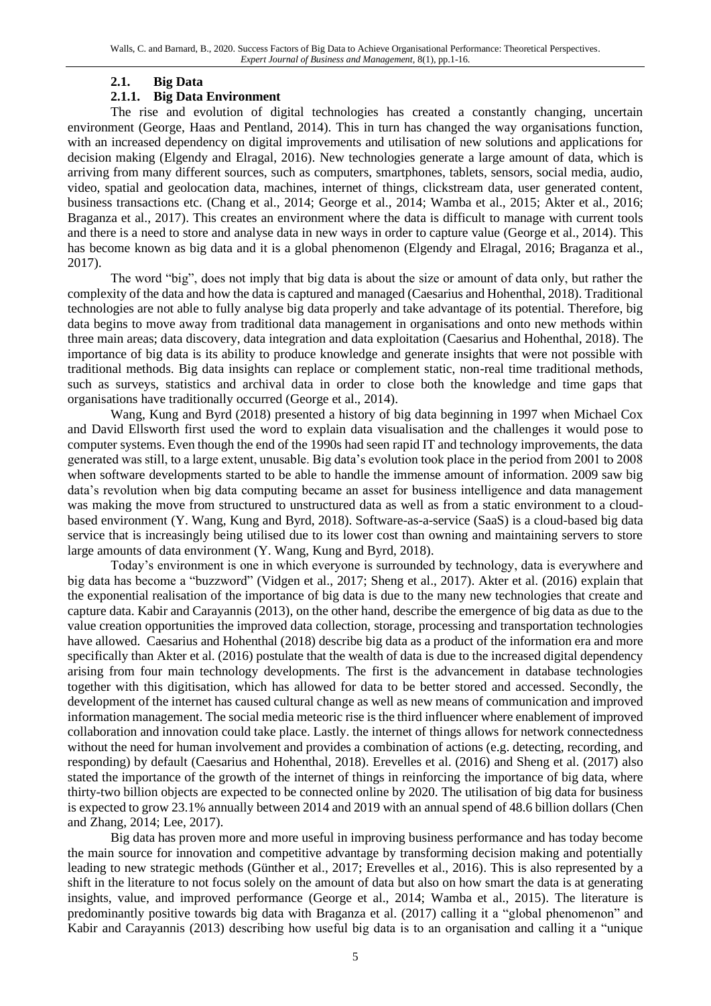#### **2.1. Big Data**

#### **2.1.1. Big Data Environment**

The rise and evolution of digital technologies has created a constantly changing, uncertain environment (George, Haas and Pentland, 2014). This in turn has changed the way organisations function, with an increased dependency on digital improvements and utilisation of new solutions and applications for decision making (Elgendy and Elragal, 2016). New technologies generate a large amount of data, which is arriving from many different sources, such as computers, smartphones, tablets, sensors, social media, audio, video, spatial and geolocation data, machines, internet of things, clickstream data, user generated content, business transactions etc. (Chang et al., 2014; George et al., 2014; Wamba et al., 2015; Akter et al., 2016; Braganza et al., 2017). This creates an environment where the data is difficult to manage with current tools and there is a need to store and analyse data in new ways in order to capture value (George et al., 2014). This has become known as big data and it is a global phenomenon (Elgendy and Elragal, 2016; Braganza et al., 2017).

The word "big", does not imply that big data is about the size or amount of data only, but rather the complexity of the data and how the data is captured and managed (Caesarius and Hohenthal, 2018). Traditional technologies are not able to fully analyse big data properly and take advantage of its potential. Therefore, big data begins to move away from traditional data management in organisations and onto new methods within three main areas; data discovery, data integration and data exploitation (Caesarius and Hohenthal, 2018). The importance of big data is its ability to produce knowledge and generate insights that were not possible with traditional methods. Big data insights can replace or complement static, non-real time traditional methods, such as surveys, statistics and archival data in order to close both the knowledge and time gaps that organisations have traditionally occurred (George et al., 2014).

Wang, Kung and Byrd (2018) presented a history of big data beginning in 1997 when Michael Cox and David Ellsworth first used the word to explain data visualisation and the challenges it would pose to computer systems. Even though the end of the 1990s had seen rapid IT and technology improvements, the data generated was still, to a large extent, unusable. Big data's evolution took place in the period from 2001 to 2008 when software developments started to be able to handle the immense amount of information. 2009 saw big data's revolution when big data computing became an asset for business intelligence and data management was making the move from structured to unstructured data as well as from a static environment to a cloudbased environment (Y. Wang, Kung and Byrd, 2018). Software-as-a-service (SaaS) is a cloud-based big data service that is increasingly being utilised due to its lower cost than owning and maintaining servers to store large amounts of data environment (Y. Wang, Kung and Byrd, 2018).

Today's environment is one in which everyone is surrounded by technology, data is everywhere and big data has become a "buzzword" (Vidgen et al., 2017; Sheng et al., 2017). Akter et al. (2016) explain that the exponential realisation of the importance of big data is due to the many new technologies that create and capture data. Kabir and Carayannis (2013), on the other hand, describe the emergence of big data as due to the value creation opportunities the improved data collection, storage, processing and transportation technologies have allowed. Caesarius and Hohenthal (2018) describe big data as a product of the information era and more specifically than Akter et al. (2016) postulate that the wealth of data is due to the increased digital dependency arising from four main technology developments. The first is the advancement in database technologies together with this digitisation, which has allowed for data to be better stored and accessed. Secondly, the development of the internet has caused cultural change as well as new means of communication and improved information management. The social media meteoric rise is the third influencer where enablement of improved collaboration and innovation could take place. Lastly. the internet of things allows for network connectedness without the need for human involvement and provides a combination of actions (e.g. detecting, recording, and responding) by default (Caesarius and Hohenthal, 2018). Erevelles et al. (2016) and Sheng et al. (2017) also stated the importance of the growth of the internet of things in reinforcing the importance of big data, where thirty-two billion objects are expected to be connected online by 2020. The utilisation of big data for business is expected to grow 23.1% annually between 2014 and 2019 with an annual spend of 48.6 billion dollars (Chen and Zhang, 2014; Lee, 2017).

Big data has proven more and more useful in improving business performance and has today become the main source for innovation and competitive advantage by transforming decision making and potentially leading to new strategic methods (Günther et al., 2017; Erevelles et al., 2016). This is also represented by a shift in the literature to not focus solely on the amount of data but also on how smart the data is at generating insights, value, and improved performance (George et al., 2014; Wamba et al., 2015). The literature is predominantly positive towards big data with Braganza et al. (2017) calling it a "global phenomenon" and Kabir and Carayannis (2013) describing how useful big data is to an organisation and calling it a "unique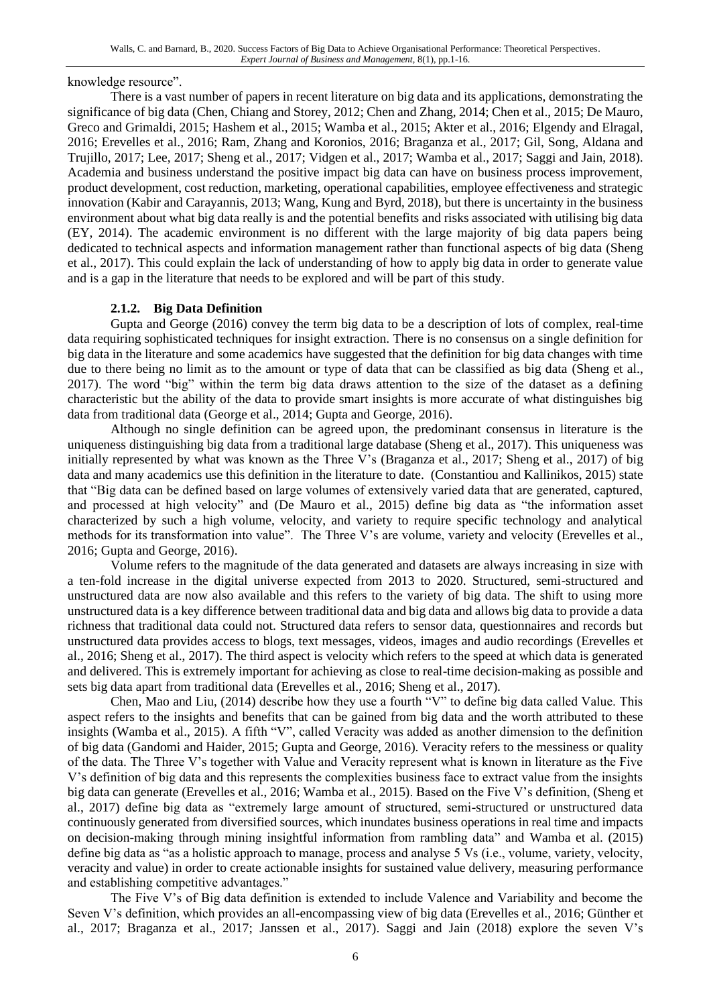knowledge resource".

There is a vast number of papers in recent literature on big data and its applications, demonstrating the significance of big data (Chen, Chiang and Storey, 2012; Chen and Zhang, 2014; Chen et al., 2015; De Mauro, Greco and Grimaldi, 2015; Hashem et al., 2015; Wamba et al., 2015; Akter et al., 2016; Elgendy and Elragal, 2016; Erevelles et al., 2016; Ram, Zhang and Koronios, 2016; Braganza et al., 2017; Gil, Song, Aldana and Trujillo, 2017; Lee, 2017; Sheng et al., 2017; Vidgen et al., 2017; Wamba et al., 2017; Saggi and Jain, 2018). Academia and business understand the positive impact big data can have on business process improvement, product development, cost reduction, marketing, operational capabilities, employee effectiveness and strategic innovation (Kabir and Carayannis, 2013; Wang, Kung and Byrd, 2018), but there is uncertainty in the business environment about what big data really is and the potential benefits and risks associated with utilising big data (EY, 2014). The academic environment is no different with the large majority of big data papers being dedicated to technical aspects and information management rather than functional aspects of big data (Sheng et al., 2017). This could explain the lack of understanding of how to apply big data in order to generate value and is a gap in the literature that needs to be explored and will be part of this study.

# **2.1.2. Big Data Definition**

Gupta and George (2016) convey the term big data to be a description of lots of complex, real-time data requiring sophisticated techniques for insight extraction. There is no consensus on a single definition for big data in the literature and some academics have suggested that the definition for big data changes with time due to there being no limit as to the amount or type of data that can be classified as big data (Sheng et al., 2017). The word "big" within the term big data draws attention to the size of the dataset as a defining characteristic but the ability of the data to provide smart insights is more accurate of what distinguishes big data from traditional data (George et al., 2014; Gupta and George, 2016).

Although no single definition can be agreed upon, the predominant consensus in literature is the uniqueness distinguishing big data from a traditional large database (Sheng et al., 2017). This uniqueness was initially represented by what was known as the Three V's (Braganza et al., 2017; Sheng et al., 2017) of big data and many academics use this definition in the literature to date. (Constantiou and Kallinikos, 2015) state that "Big data can be defined based on large volumes of extensively varied data that are generated, captured, and processed at high velocity" and (De Mauro et al., 2015) define big data as "the information asset characterized by such a high volume, velocity, and variety to require specific technology and analytical methods for its transformation into value". The Three V's are volume, variety and velocity (Erevelles et al., 2016; Gupta and George, 2016).

Volume refers to the magnitude of the data generated and datasets are always increasing in size with a ten-fold increase in the digital universe expected from 2013 to 2020. Structured, semi-structured and unstructured data are now also available and this refers to the variety of big data. The shift to using more unstructured data is a key difference between traditional data and big data and allows big data to provide a data richness that traditional data could not. Structured data refers to sensor data, questionnaires and records but unstructured data provides access to blogs, text messages, videos, images and audio recordings (Erevelles et al., 2016; Sheng et al., 2017). The third aspect is velocity which refers to the speed at which data is generated and delivered. This is extremely important for achieving as close to real-time decision-making as possible and sets big data apart from traditional data (Erevelles et al., 2016; Sheng et al., 2017).

Chen, Mao and Liu, (2014) describe how they use a fourth "V" to define big data called Value. This aspect refers to the insights and benefits that can be gained from big data and the worth attributed to these insights (Wamba et al., 2015). A fifth "V", called Veracity was added as another dimension to the definition of big data (Gandomi and Haider, 2015; Gupta and George, 2016). Veracity refers to the messiness or quality of the data. The Three V's together with Value and Veracity represent what is known in literature as the Five V's definition of big data and this represents the complexities business face to extract value from the insights big data can generate (Erevelles et al., 2016; Wamba et al., 2015). Based on the Five V's definition, (Sheng et al., 2017) define big data as "extremely large amount of structured, semi-structured or unstructured data continuously generated from diversified sources, which inundates business operations in real time and impacts on decision-making through mining insightful information from rambling data" and Wamba et al. (2015) define big data as "as a holistic approach to manage, process and analyse 5 Vs (i.e., volume, variety, velocity, veracity and value) in order to create actionable insights for sustained value delivery, measuring performance and establishing competitive advantages."

The Five V's of Big data definition is extended to include Valence and Variability and become the Seven V's definition, which provides an all-encompassing view of big data (Erevelles et al., 2016; Günther et al., 2017; Braganza et al., 2017; Janssen et al., 2017). Saggi and Jain (2018) explore the seven V's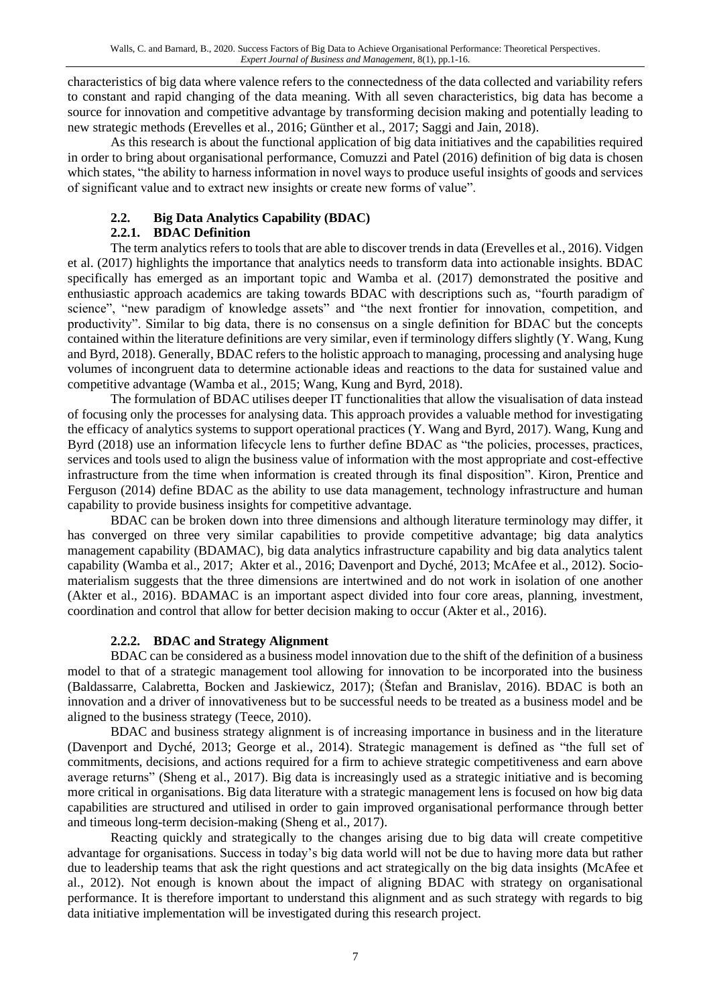characteristics of big data where valence refers to the connectedness of the data collected and variability refers to constant and rapid changing of the data meaning. With all seven characteristics, big data has become a source for innovation and competitive advantage by transforming decision making and potentially leading to new strategic methods (Erevelles et al., 2016; Günther et al., 2017; Saggi and Jain, 2018).

As this research is about the functional application of big data initiatives and the capabilities required in order to bring about organisational performance, Comuzzi and Patel (2016) definition of big data is chosen which states, "the ability to harness information in novel ways to produce useful insights of goods and services of significant value and to extract new insights or create new forms of value".

# **2.2. Big Data Analytics Capability (BDAC)**

# **2.2.1. BDAC Definition**

The term analytics refers to tools that are able to discover trends in data (Erevelles et al., 2016). Vidgen et al. (2017) highlights the importance that analytics needs to transform data into actionable insights. BDAC specifically has emerged as an important topic and Wamba et al. (2017) demonstrated the positive and enthusiastic approach academics are taking towards BDAC with descriptions such as, "fourth paradigm of science", "new paradigm of knowledge assets" and "the next frontier for innovation, competition, and productivity". Similar to big data, there is no consensus on a single definition for BDAC but the concepts contained within the literature definitions are very similar, even if terminology differs slightly (Y. Wang, Kung and Byrd, 2018). Generally, BDAC refers to the holistic approach to managing, processing and analysing huge volumes of incongruent data to determine actionable ideas and reactions to the data for sustained value and competitive advantage (Wamba et al., 2015; Wang, Kung and Byrd, 2018).

The formulation of BDAC utilises deeper IT functionalities that allow the visualisation of data instead of focusing only the processes for analysing data. This approach provides a valuable method for investigating the efficacy of analytics systems to support operational practices (Y. Wang and Byrd, 2017). Wang, Kung and Byrd (2018) use an information lifecycle lens to further define BDAC as "the policies, processes, practices, services and tools used to align the business value of information with the most appropriate and cost-effective infrastructure from the time when information is created through its final disposition". Kiron, Prentice and Ferguson (2014) define BDAC as the ability to use data management, technology infrastructure and human capability to provide business insights for competitive advantage.

BDAC can be broken down into three dimensions and although literature terminology may differ, it has converged on three very similar capabilities to provide competitive advantage; big data analytics management capability (BDAMAC), big data analytics infrastructure capability and big data analytics talent capability (Wamba et al., 2017; Akter et al., 2016; Davenport and Dyché, 2013; McAfee et al., 2012). Sociomaterialism suggests that the three dimensions are intertwined and do not work in isolation of one another (Akter et al., 2016). BDAMAC is an important aspect divided into four core areas, planning, investment, coordination and control that allow for better decision making to occur (Akter et al., 2016).

# **2.2.2. BDAC and Strategy Alignment**

BDAC can be considered as a business model innovation due to the shift of the definition of a business model to that of a strategic management tool allowing for innovation to be incorporated into the business (Baldassarre, Calabretta, Bocken and Jaskiewicz, 2017); (Štefan and Branislav, 2016). BDAC is both an innovation and a driver of innovativeness but to be successful needs to be treated as a business model and be aligned to the business strategy (Teece, 2010).

BDAC and business strategy alignment is of increasing importance in business and in the literature (Davenport and Dyché, 2013; George et al., 2014). Strategic management is defined as "the full set of commitments, decisions, and actions required for a firm to achieve strategic competitiveness and earn above average returns" (Sheng et al., 2017). Big data is increasingly used as a strategic initiative and is becoming more critical in organisations. Big data literature with a strategic management lens is focused on how big data capabilities are structured and utilised in order to gain improved organisational performance through better and timeous long-term decision-making (Sheng et al., 2017).

Reacting quickly and strategically to the changes arising due to big data will create competitive advantage for organisations. Success in today's big data world will not be due to having more data but rather due to leadership teams that ask the right questions and act strategically on the big data insights (McAfee et al., 2012). Not enough is known about the impact of aligning BDAC with strategy on organisational performance. It is therefore important to understand this alignment and as such strategy with regards to big data initiative implementation will be investigated during this research project.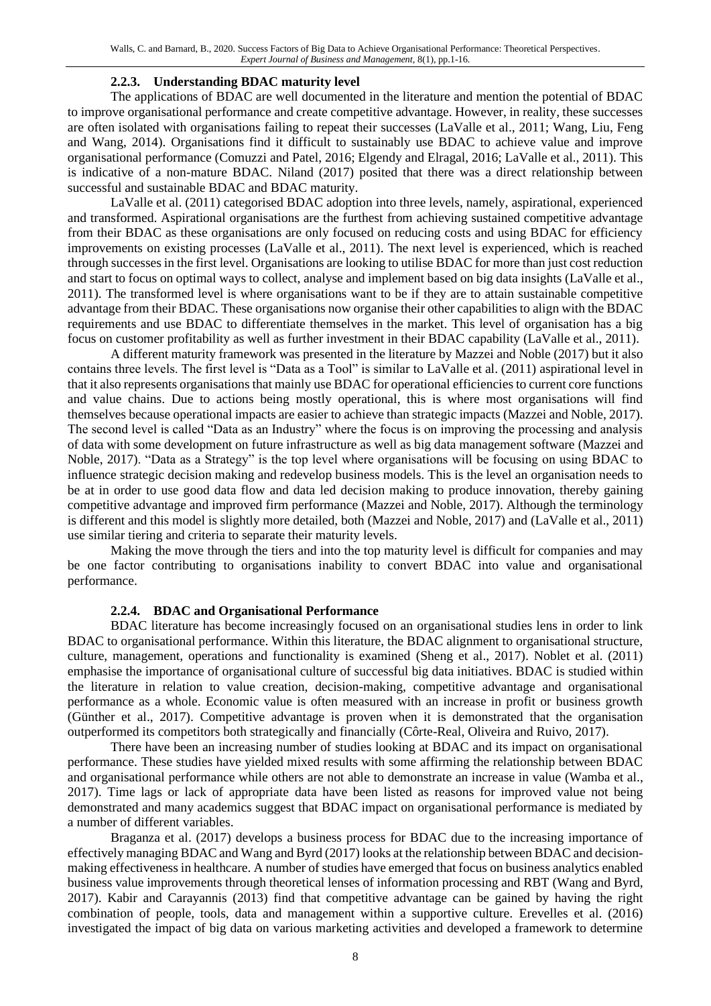#### **2.2.3. Understanding BDAC maturity level**

The applications of BDAC are well documented in the literature and mention the potential of BDAC to improve organisational performance and create competitive advantage. However, in reality, these successes are often isolated with organisations failing to repeat their successes (LaValle et al., 2011; Wang, Liu, Feng and Wang, 2014). Organisations find it difficult to sustainably use BDAC to achieve value and improve organisational performance (Comuzzi and Patel, 2016; Elgendy and Elragal, 2016; LaValle et al., 2011). This is indicative of a non-mature BDAC. Niland (2017) posited that there was a direct relationship between successful and sustainable BDAC and BDAC maturity.

LaValle et al. (2011) categorised BDAC adoption into three levels, namely, aspirational, experienced and transformed. Aspirational organisations are the furthest from achieving sustained competitive advantage from their BDAC as these organisations are only focused on reducing costs and using BDAC for efficiency improvements on existing processes (LaValle et al., 2011). The next level is experienced, which is reached through successes in the first level. Organisations are looking to utilise BDAC for more than just cost reduction and start to focus on optimal ways to collect, analyse and implement based on big data insights (LaValle et al., 2011). The transformed level is where organisations want to be if they are to attain sustainable competitive advantage from their BDAC. These organisations now organise their other capabilities to align with the BDAC requirements and use BDAC to differentiate themselves in the market. This level of organisation has a big focus on customer profitability as well as further investment in their BDAC capability (LaValle et al., 2011).

A different maturity framework was presented in the literature by Mazzei and Noble (2017) but it also contains three levels. The first level is "Data as a Tool" is similar to LaValle et al. (2011) aspirational level in that it also represents organisations that mainly use BDAC for operational efficiencies to current core functions and value chains. Due to actions being mostly operational, this is where most organisations will find themselves because operational impacts are easier to achieve than strategic impacts (Mazzei and Noble, 2017). The second level is called "Data as an Industry" where the focus is on improving the processing and analysis of data with some development on future infrastructure as well as big data management software (Mazzei and Noble, 2017). "Data as a Strategy" is the top level where organisations will be focusing on using BDAC to influence strategic decision making and redevelop business models. This is the level an organisation needs to be at in order to use good data flow and data led decision making to produce innovation, thereby gaining competitive advantage and improved firm performance (Mazzei and Noble, 2017). Although the terminology is different and this model is slightly more detailed, both (Mazzei and Noble, 2017) and (LaValle et al., 2011) use similar tiering and criteria to separate their maturity levels.

Making the move through the tiers and into the top maturity level is difficult for companies and may be one factor contributing to organisations inability to convert BDAC into value and organisational performance.

#### **2.2.4. BDAC and Organisational Performance**

BDAC literature has become increasingly focused on an organisational studies lens in order to link BDAC to organisational performance. Within this literature, the BDAC alignment to organisational structure, culture, management, operations and functionality is examined (Sheng et al., 2017). Noblet et al. (2011) emphasise the importance of organisational culture of successful big data initiatives. BDAC is studied within the literature in relation to value creation, decision-making, competitive advantage and organisational performance as a whole. Economic value is often measured with an increase in profit or business growth (Günther et al., 2017). Competitive advantage is proven when it is demonstrated that the organisation outperformed its competitors both strategically and financially (Côrte-Real, Oliveira and Ruivo, 2017).

There have been an increasing number of studies looking at BDAC and its impact on organisational performance. These studies have yielded mixed results with some affirming the relationship between BDAC and organisational performance while others are not able to demonstrate an increase in value (Wamba et al., 2017). Time lags or lack of appropriate data have been listed as reasons for improved value not being demonstrated and many academics suggest that BDAC impact on organisational performance is mediated by a number of different variables.

Braganza et al. (2017) develops a business process for BDAC due to the increasing importance of effectively managing BDAC and Wang and Byrd (2017) looks at the relationship between BDAC and decisionmaking effectiveness in healthcare. A number of studies have emerged that focus on business analytics enabled business value improvements through theoretical lenses of information processing and RBT (Wang and Byrd, 2017). Kabir and Carayannis (2013) find that competitive advantage can be gained by having the right combination of people, tools, data and management within a supportive culture. Erevelles et al. (2016) investigated the impact of big data on various marketing activities and developed a framework to determine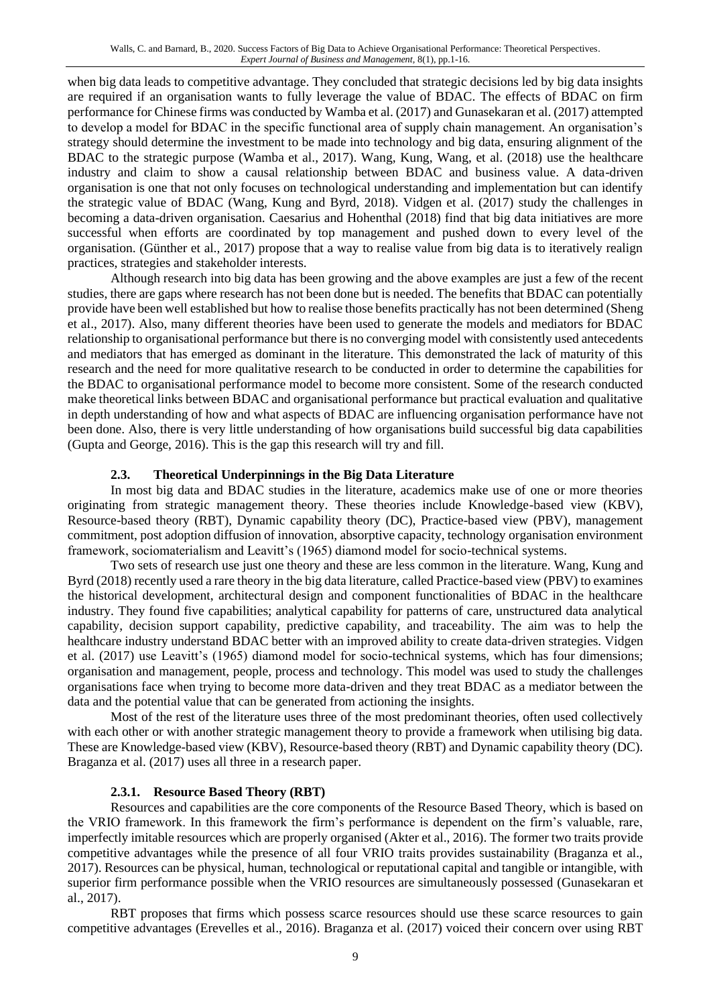when big data leads to competitive advantage. They concluded that strategic decisions led by big data insights are required if an organisation wants to fully leverage the value of BDAC. The effects of BDAC on firm performance for Chinese firms was conducted by Wamba et al. (2017) and Gunasekaran et al. (2017) attempted to develop a model for BDAC in the specific functional area of supply chain management. An organisation's strategy should determine the investment to be made into technology and big data, ensuring alignment of the BDAC to the strategic purpose (Wamba et al., 2017). Wang, Kung, Wang, et al. (2018) use the healthcare industry and claim to show a causal relationship between BDAC and business value. A data-driven organisation is one that not only focuses on technological understanding and implementation but can identify the strategic value of BDAC (Wang, Kung and Byrd, 2018). Vidgen et al. (2017) study the challenges in becoming a data-driven organisation. Caesarius and Hohenthal (2018) find that big data initiatives are more successful when efforts are coordinated by top management and pushed down to every level of the organisation. (Günther et al., 2017) propose that a way to realise value from big data is to iteratively realign practices, strategies and stakeholder interests.

Although research into big data has been growing and the above examples are just a few of the recent studies, there are gaps where research has not been done but is needed. The benefits that BDAC can potentially provide have been well established but how to realise those benefits practically has not been determined (Sheng et al., 2017). Also, many different theories have been used to generate the models and mediators for BDAC relationship to organisational performance but there is no converging model with consistently used antecedents and mediators that has emerged as dominant in the literature. This demonstrated the lack of maturity of this research and the need for more qualitative research to be conducted in order to determine the capabilities for the BDAC to organisational performance model to become more consistent. Some of the research conducted make theoretical links between BDAC and organisational performance but practical evaluation and qualitative in depth understanding of how and what aspects of BDAC are influencing organisation performance have not been done. Also, there is very little understanding of how organisations build successful big data capabilities (Gupta and George, 2016). This is the gap this research will try and fill.

# **2.3. Theoretical Underpinnings in the Big Data Literature**

In most big data and BDAC studies in the literature, academics make use of one or more theories originating from strategic management theory. These theories include Knowledge-based view (KBV), Resource-based theory (RBT), Dynamic capability theory (DC), Practice-based view (PBV), management commitment, post adoption diffusion of innovation, absorptive capacity, technology organisation environment framework, sociomaterialism and Leavitt's (1965) diamond model for socio-technical systems.

Two sets of research use just one theory and these are less common in the literature. Wang, Kung and Byrd (2018) recently used a rare theory in the big data literature, called Practice-based view (PBV) to examines the historical development, architectural design and component functionalities of BDAC in the healthcare industry. They found five capabilities; analytical capability for patterns of care, unstructured data analytical capability, decision support capability, predictive capability, and traceability. The aim was to help the healthcare industry understand BDAC better with an improved ability to create data-driven strategies. Vidgen et al. (2017) use Leavitt's (1965) diamond model for socio-technical systems, which has four dimensions; organisation and management, people, process and technology. This model was used to study the challenges organisations face when trying to become more data-driven and they treat BDAC as a mediator between the data and the potential value that can be generated from actioning the insights.

Most of the rest of the literature uses three of the most predominant theories, often used collectively with each other or with another strategic management theory to provide a framework when utilising big data. These are Knowledge-based view (KBV), Resource-based theory (RBT) and Dynamic capability theory (DC). Braganza et al. (2017) uses all three in a research paper.

# **2.3.1. Resource Based Theory (RBT)**

Resources and capabilities are the core components of the Resource Based Theory, which is based on the VRIO framework. In this framework the firm's performance is dependent on the firm's valuable, rare, imperfectly imitable resources which are properly organised (Akter et al., 2016). The former two traits provide competitive advantages while the presence of all four VRIO traits provides sustainability (Braganza et al., 2017). Resources can be physical, human, technological or reputational capital and tangible or intangible, with superior firm performance possible when the VRIO resources are simultaneously possessed (Gunasekaran et al., 2017).

RBT proposes that firms which possess scarce resources should use these scarce resources to gain competitive advantages (Erevelles et al., 2016). Braganza et al. (2017) voiced their concern over using RBT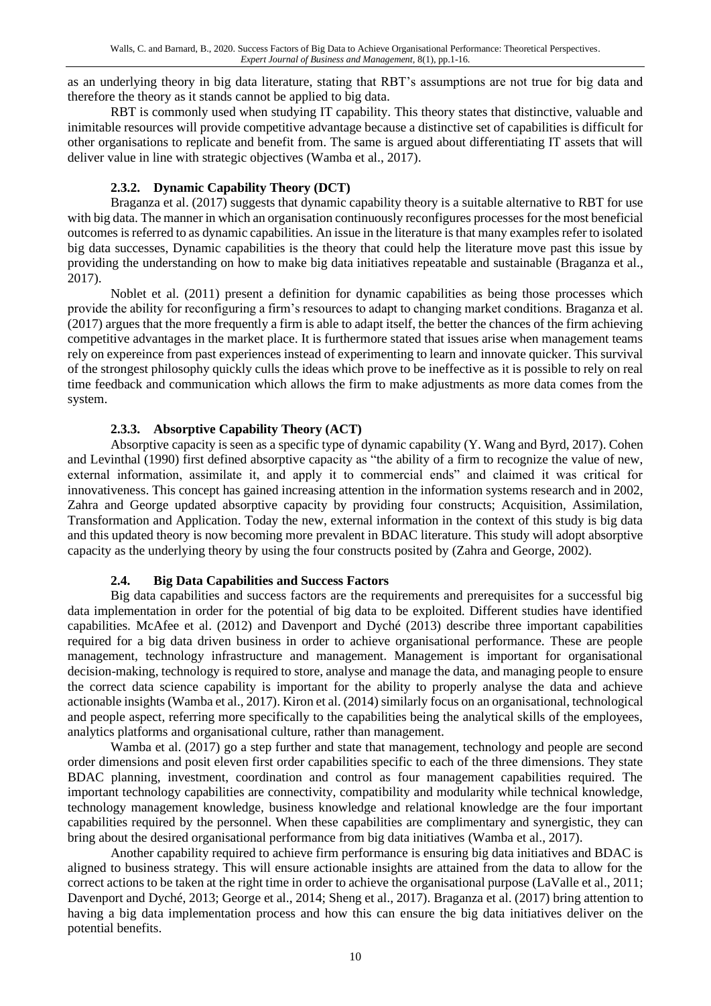as an underlying theory in big data literature, stating that RBT's assumptions are not true for big data and therefore the theory as it stands cannot be applied to big data.

RBT is commonly used when studying IT capability. This theory states that distinctive, valuable and inimitable resources will provide competitive advantage because a distinctive set of capabilities is difficult for other organisations to replicate and benefit from. The same is argued about differentiating IT assets that will deliver value in line with strategic objectives (Wamba et al., 2017).

# **2.3.2. Dynamic Capability Theory (DCT)**

Braganza et al. (2017) suggests that dynamic capability theory is a suitable alternative to RBT for use with big data. The manner in which an organisation continuously reconfigures processes for the most beneficial outcomes is referred to as dynamic capabilities. An issue in the literature is that many examples refer to isolated big data successes, Dynamic capabilities is the theory that could help the literature move past this issue by providing the understanding on how to make big data initiatives repeatable and sustainable (Braganza et al., 2017).

Noblet et al. (2011) present a definition for dynamic capabilities as being those processes which provide the ability for reconfiguring a firm's resources to adapt to changing market conditions. Braganza et al. (2017) argues that the more frequently a firm is able to adapt itself, the better the chances of the firm achieving competitive advantages in the market place. It is furthermore stated that issues arise when management teams rely on expereince from past experiences instead of experimenting to learn and innovate quicker. This survival of the strongest philosophy quickly culls the ideas which prove to be ineffective as it is possible to rely on real time feedback and communication which allows the firm to make adjustments as more data comes from the system.

# **2.3.3. Absorptive Capability Theory (ACT)**

Absorptive capacity is seen as a specific type of dynamic capability (Y. Wang and Byrd, 2017). Cohen and Levinthal (1990) first defined absorptive capacity as "the ability of a firm to recognize the value of new, external information, assimilate it, and apply it to commercial ends" and claimed it was critical for innovativeness. This concept has gained increasing attention in the information systems research and in 2002, Zahra and George updated absorptive capacity by providing four constructs; Acquisition, Assimilation, Transformation and Application. Today the new, external information in the context of this study is big data and this updated theory is now becoming more prevalent in BDAC literature. This study will adopt absorptive capacity as the underlying theory by using the four constructs posited by (Zahra and George, 2002).

# **2.4. Big Data Capabilities and Success Factors**

Big data capabilities and success factors are the requirements and prerequisites for a successful big data implementation in order for the potential of big data to be exploited. Different studies have identified capabilities. McAfee et al. (2012) and Davenport and Dyché (2013) describe three important capabilities required for a big data driven business in order to achieve organisational performance. These are people management, technology infrastructure and management. Management is important for organisational decision-making, technology is required to store, analyse and manage the data, and managing people to ensure the correct data science capability is important for the ability to properly analyse the data and achieve actionable insights (Wamba et al., 2017). Kiron et al. (2014) similarly focus on an organisational, technological and people aspect, referring more specifically to the capabilities being the analytical skills of the employees, analytics platforms and organisational culture, rather than management.

Wamba et al. (2017) go a step further and state that management, technology and people are second order dimensions and posit eleven first order capabilities specific to each of the three dimensions. They state BDAC planning, investment, coordination and control as four management capabilities required. The important technology capabilities are connectivity, compatibility and modularity while technical knowledge, technology management knowledge, business knowledge and relational knowledge are the four important capabilities required by the personnel. When these capabilities are complimentary and synergistic, they can bring about the desired organisational performance from big data initiatives (Wamba et al., 2017).

Another capability required to achieve firm performance is ensuring big data initiatives and BDAC is aligned to business strategy. This will ensure actionable insights are attained from the data to allow for the correct actions to be taken at the right time in order to achieve the organisational purpose (LaValle et al., 2011; Davenport and Dyché, 2013; George et al., 2014; Sheng et al., 2017). Braganza et al. (2017) bring attention to having a big data implementation process and how this can ensure the big data initiatives deliver on the potential benefits.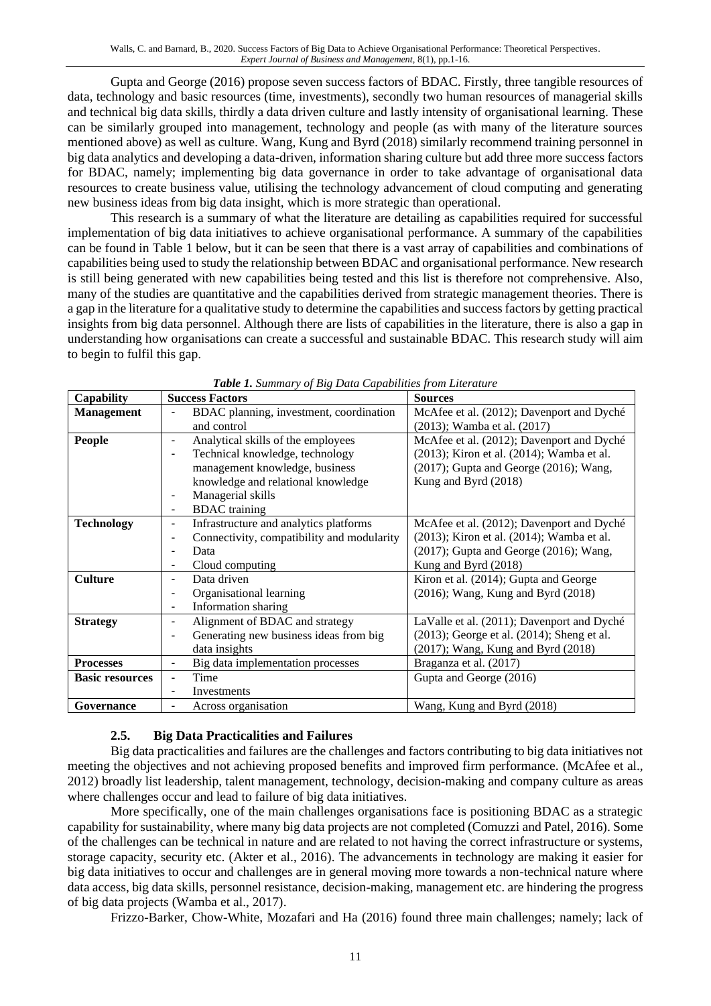Gupta and George (2016) propose seven success factors of BDAC. Firstly, three tangible resources of data, technology and basic resources (time, investments), secondly two human resources of managerial skills and technical big data skills, thirdly a data driven culture and lastly intensity of organisational learning. These can be similarly grouped into management, technology and people (as with many of the literature sources mentioned above) as well as culture. Wang, Kung and Byrd (2018) similarly recommend training personnel in big data analytics and developing a data-driven, information sharing culture but add three more success factors for BDAC, namely; implementing big data governance in order to take advantage of organisational data resources to create business value, utilising the technology advancement of cloud computing and generating new business ideas from big data insight, which is more strategic than operational.

This research is a summary of what the literature are detailing as capabilities required for successful implementation of big data initiatives to achieve organisational performance. A summary of the capabilities can be found in [Table 1](#page-10-0) below, but it can be seen that there is a vast array of capabilities and combinations of capabilities being used to study the relationship between BDAC and organisational performance. New research is still being generated with new capabilities being tested and this list is therefore not comprehensive. Also, many of the studies are quantitative and the capabilities derived from strategic management theories. There is a gap in the literature for a qualitative study to determine the capabilities and success factors by getting practical insights from big data personnel. Although there are lists of capabilities in the literature, there is also a gap in understanding how organisations can create a successful and sustainable BDAC. This research study will aim to begin to fulfil this gap.

<span id="page-10-0"></span>

| <b>Capability</b>      | <b>Success Factors</b>                      | <b>Sources</b>                                   |
|------------------------|---------------------------------------------|--------------------------------------------------|
| <b>Management</b>      | BDAC planning, investment, coordination     | McAfee et al. (2012); Davenport and Dyché        |
|                        | and control                                 | (2013); Wamba et al. (2017)                      |
| <b>People</b>          | Analytical skills of the employees<br>-     | McAfee et al. (2012); Davenport and Dyché        |
|                        | Technical knowledge, technology             | (2013); Kiron et al. (2014); Wamba et al.        |
|                        | management knowledge, business              | $(2017)$ ; Gupta and George $(2016)$ ; Wang,     |
|                        | knowledge and relational knowledge          | Kung and Byrd (2018)                             |
|                        | Managerial skills                           |                                                  |
|                        | <b>BDAC</b> training<br>۰                   |                                                  |
| <b>Technology</b>      | Infrastructure and analytics platforms<br>- | McAfee et al. (2012); Davenport and Dyché        |
|                        | Connectivity, compatibility and modularity  | (2013); Kiron et al. (2014); Wamba et al.        |
|                        | Data                                        | $(2017)$ ; Gupta and George $(2016)$ ; Wang,     |
|                        | Cloud computing                             | Kung and Byrd (2018)                             |
| <b>Culture</b>         | Data driven                                 | Kiron et al. (2014); Gupta and George            |
|                        | Organisational learning                     | $(2016)$ ; Wang, Kung and Byrd $(2018)$          |
|                        | Information sharing<br>-                    |                                                  |
| <b>Strategy</b>        | Alignment of BDAC and strategy              | LaValle et al. (2011); Davenport and Dyché       |
|                        | Generating new business ideas from big      | $(2013)$ ; George et al. $(2014)$ ; Sheng et al. |
|                        | data insights                               | (2017); Wang, Kung and Byrd (2018)               |
| <b>Processes</b>       | Big data implementation processes           | Braganza et al. (2017)                           |
| <b>Basic resources</b> | Time                                        | Gupta and George (2016)                          |
|                        | Investments                                 |                                                  |
| Governance             | Across organisation                         | Wang, Kung and Byrd (2018)                       |

*Table 1. Summary of Big Data Capabilities from Literature*

# **2.5. Big Data Practicalities and Failures**

Big data practicalities and failures are the challenges and factors contributing to big data initiatives not meeting the objectives and not achieving proposed benefits and improved firm performance. (McAfee et al., 2012) broadly list leadership, talent management, technology, decision-making and company culture as areas where challenges occur and lead to failure of big data initiatives.

More specifically, one of the main challenges organisations face is positioning BDAC as a strategic capability for sustainability, where many big data projects are not completed (Comuzzi and Patel, 2016). Some of the challenges can be technical in nature and are related to not having the correct infrastructure or systems, storage capacity, security etc. (Akter et al., 2016). The advancements in technology are making it easier for big data initiatives to occur and challenges are in general moving more towards a non-technical nature where data access, big data skills, personnel resistance, decision-making, management etc. are hindering the progress of big data projects (Wamba et al., 2017).

Frizzo-Barker, Chow-White, Mozafari and Ha (2016) found three main challenges; namely; lack of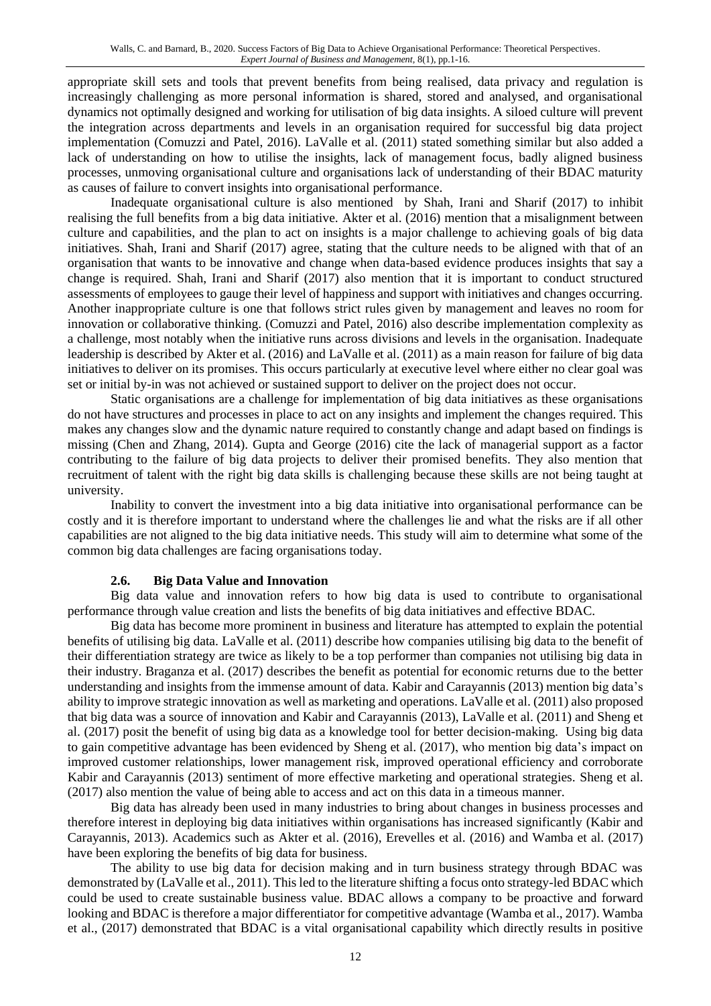appropriate skill sets and tools that prevent benefits from being realised, data privacy and regulation is increasingly challenging as more personal information is shared, stored and analysed, and organisational dynamics not optimally designed and working for utilisation of big data insights. A siloed culture will prevent the integration across departments and levels in an organisation required for successful big data project implementation (Comuzzi and Patel, 2016). LaValle et al. (2011) stated something similar but also added a lack of understanding on how to utilise the insights, lack of management focus, badly aligned business processes, unmoving organisational culture and organisations lack of understanding of their BDAC maturity as causes of failure to convert insights into organisational performance.

Inadequate organisational culture is also mentioned by Shah, Irani and Sharif (2017) to inhibit realising the full benefits from a big data initiative. Akter et al. (2016) mention that a misalignment between culture and capabilities, and the plan to act on insights is a major challenge to achieving goals of big data initiatives. Shah, Irani and Sharif (2017) agree, stating that the culture needs to be aligned with that of an organisation that wants to be innovative and change when data-based evidence produces insights that say a change is required. Shah, Irani and Sharif (2017) also mention that it is important to conduct structured assessments of employees to gauge their level of happiness and support with initiatives and changes occurring. Another inappropriate culture is one that follows strict rules given by management and leaves no room for innovation or collaborative thinking. (Comuzzi and Patel, 2016) also describe implementation complexity as a challenge, most notably when the initiative runs across divisions and levels in the organisation. Inadequate leadership is described by Akter et al. (2016) and LaValle et al. (2011) as a main reason for failure of big data initiatives to deliver on its promises. This occurs particularly at executive level where either no clear goal was set or initial by-in was not achieved or sustained support to deliver on the project does not occur.

Static organisations are a challenge for implementation of big data initiatives as these organisations do not have structures and processes in place to act on any insights and implement the changes required. This makes any changes slow and the dynamic nature required to constantly change and adapt based on findings is missing (Chen and Zhang, 2014). Gupta and George (2016) cite the lack of managerial support as a factor contributing to the failure of big data projects to deliver their promised benefits. They also mention that recruitment of talent with the right big data skills is challenging because these skills are not being taught at university.

Inability to convert the investment into a big data initiative into organisational performance can be costly and it is therefore important to understand where the challenges lie and what the risks are if all other capabilities are not aligned to the big data initiative needs. This study will aim to determine what some of the common big data challenges are facing organisations today.

# **2.6. Big Data Value and Innovation**

Big data value and innovation refers to how big data is used to contribute to organisational performance through value creation and lists the benefits of big data initiatives and effective BDAC.

Big data has become more prominent in business and literature has attempted to explain the potential benefits of utilising big data. LaValle et al. (2011) describe how companies utilising big data to the benefit of their differentiation strategy are twice as likely to be a top performer than companies not utilising big data in their industry. Braganza et al. (2017) describes the benefit as potential for economic returns due to the better understanding and insights from the immense amount of data. Kabir and Carayannis (2013) mention big data's ability to improve strategic innovation as well as marketing and operations. LaValle et al. (2011) also proposed that big data was a source of innovation and Kabir and Carayannis (2013), LaValle et al. (2011) and Sheng et al. (2017) posit the benefit of using big data as a knowledge tool for better decision-making. Using big data to gain competitive advantage has been evidenced by Sheng et al. (2017), who mention big data's impact on improved customer relationships, lower management risk, improved operational efficiency and corroborate Kabir and Carayannis (2013) sentiment of more effective marketing and operational strategies. Sheng et al. (2017) also mention the value of being able to access and act on this data in a timeous manner.

Big data has already been used in many industries to bring about changes in business processes and therefore interest in deploying big data initiatives within organisations has increased significantly (Kabir and Carayannis, 2013). Academics such as Akter et al. (2016), Erevelles et al. (2016) and Wamba et al. (2017) have been exploring the benefits of big data for business.

The ability to use big data for decision making and in turn business strategy through BDAC was demonstrated by (LaValle et al., 2011). This led to the literature shifting a focus onto strategy-led BDAC which could be used to create sustainable business value. BDAC allows a company to be proactive and forward looking and BDAC is therefore a major differentiator for competitive advantage (Wamba et al., 2017). Wamba et al., (2017) demonstrated that BDAC is a vital organisational capability which directly results in positive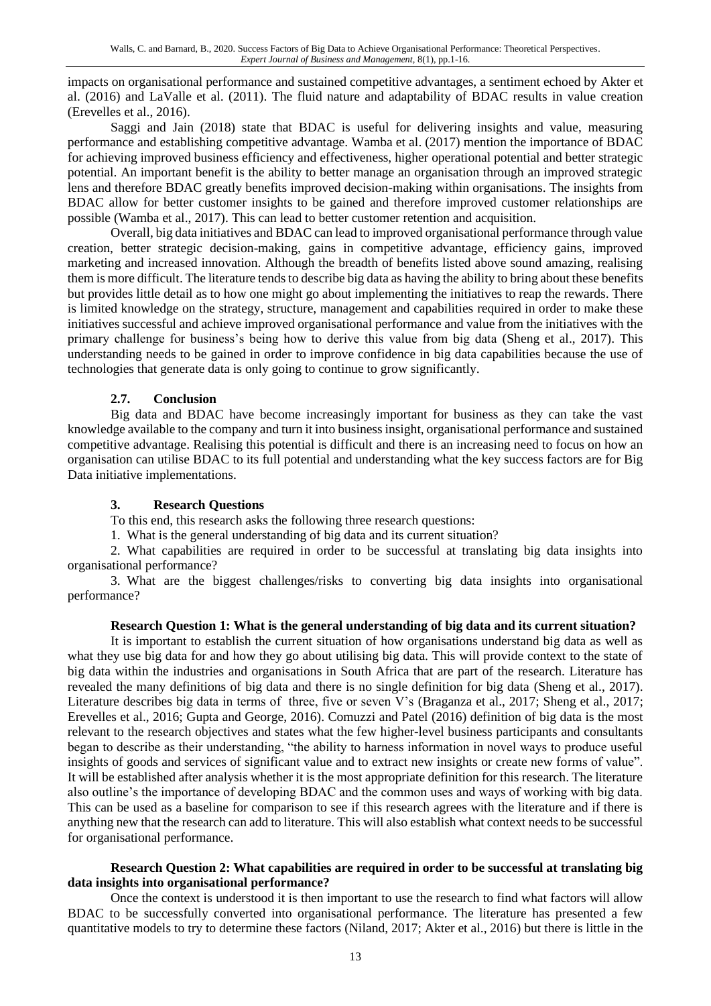impacts on organisational performance and sustained competitive advantages, a sentiment echoed by Akter et al. (2016) and LaValle et al. (2011). The fluid nature and adaptability of BDAC results in value creation (Erevelles et al., 2016).

Saggi and Jain (2018) state that BDAC is useful for delivering insights and value, measuring performance and establishing competitive advantage. Wamba et al. (2017) mention the importance of BDAC for achieving improved business efficiency and effectiveness, higher operational potential and better strategic potential. An important benefit is the ability to better manage an organisation through an improved strategic lens and therefore BDAC greatly benefits improved decision-making within organisations. The insights from BDAC allow for better customer insights to be gained and therefore improved customer relationships are possible (Wamba et al., 2017). This can lead to better customer retention and acquisition.

Overall, big data initiatives and BDAC can lead to improved organisational performance through value creation, better strategic decision-making, gains in competitive advantage, efficiency gains, improved marketing and increased innovation. Although the breadth of benefits listed above sound amazing, realising them is more difficult. The literature tends to describe big data as having the ability to bring about these benefits but provides little detail as to how one might go about implementing the initiatives to reap the rewards. There is limited knowledge on the strategy, structure, management and capabilities required in order to make these initiatives successful and achieve improved organisational performance and value from the initiatives with the primary challenge for business's being how to derive this value from big data (Sheng et al., 2017). This understanding needs to be gained in order to improve confidence in big data capabilities because the use of technologies that generate data is only going to continue to grow significantly.

# **2.7. Conclusion**

Big data and BDAC have become increasingly important for business as they can take the vast knowledge available to the company and turn it into business insight, organisational performance and sustained competitive advantage. Realising this potential is difficult and there is an increasing need to focus on how an organisation can utilise BDAC to its full potential and understanding what the key success factors are for Big Data initiative implementations.

#### **3. Research Questions**

To this end, this research asks the following three research questions:

1. What is the general understanding of big data and its current situation?

2. What capabilities are required in order to be successful at translating big data insights into organisational performance?

3. What are the biggest challenges/risks to converting big data insights into organisational performance?

#### **Research Question 1: What is the general understanding of big data and its current situation?**

It is important to establish the current situation of how organisations understand big data as well as what they use big data for and how they go about utilising big data. This will provide context to the state of big data within the industries and organisations in South Africa that are part of the research. Literature has revealed the many definitions of big data and there is no single definition for big data (Sheng et al., 2017). Literature describes big data in terms of three, five or seven V's (Braganza et al., 2017; Sheng et al., 2017; Erevelles et al., 2016; Gupta and George, 2016). Comuzzi and Patel (2016) definition of big data is the most relevant to the research objectives and states what the few higher-level business participants and consultants began to describe as their understanding, "the ability to harness information in novel ways to produce useful insights of goods and services of significant value and to extract new insights or create new forms of value". It will be established after analysis whether it is the most appropriate definition for this research. The literature also outline's the importance of developing BDAC and the common uses and ways of working with big data. This can be used as a baseline for comparison to see if this research agrees with the literature and if there is anything new that the research can add to literature. This will also establish what context needs to be successful for organisational performance.

#### **Research Question 2: What capabilities are required in order to be successful at translating big data insights into organisational performance?**

Once the context is understood it is then important to use the research to find what factors will allow BDAC to be successfully converted into organisational performance. The literature has presented a few quantitative models to try to determine these factors (Niland, 2017; Akter et al., 2016) but there is little in the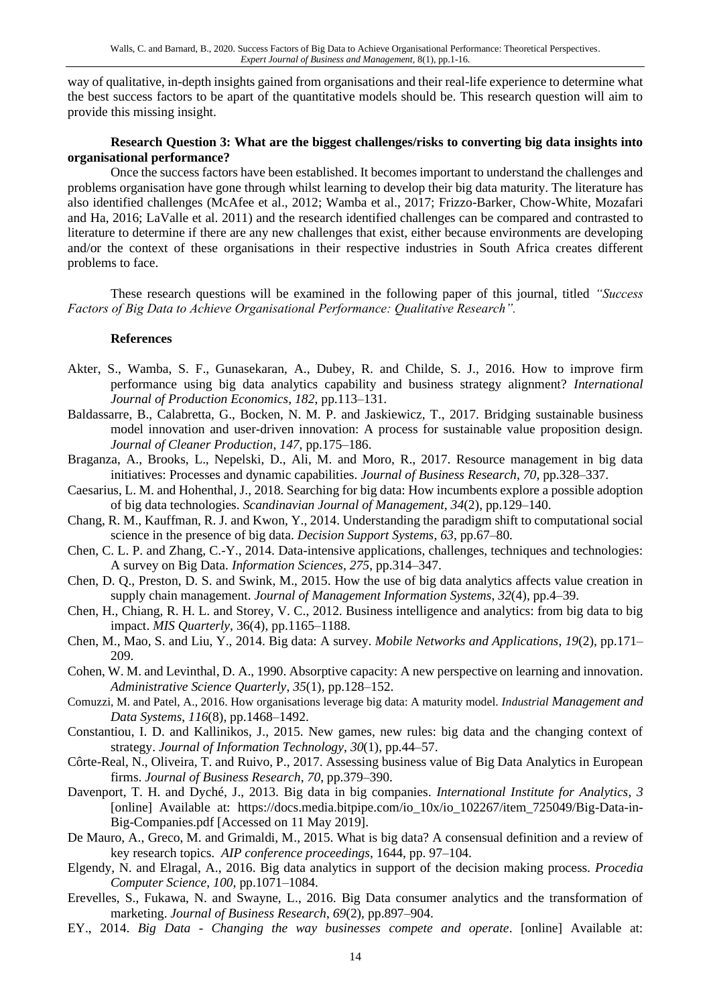way of qualitative, in-depth insights gained from organisations and their real-life experience to determine what the best success factors to be apart of the quantitative models should be. This research question will aim to provide this missing insight.

#### **Research Question 3: What are the biggest challenges/risks to converting big data insights into organisational performance?**

Once the success factors have been established. It becomes important to understand the challenges and problems organisation have gone through whilst learning to develop their big data maturity. The literature has also identified challenges (McAfee et al., 2012; Wamba et al., 2017; Frizzo-Barker, Chow-White, Mozafari and Ha, 2016; LaValle et al. 2011) and the research identified challenges can be compared and contrasted to literature to determine if there are any new challenges that exist, either because environments are developing and/or the context of these organisations in their respective industries in South Africa creates different problems to face.

These research questions will be examined in the following paper of this journal, titled *"Success Factors of Big Data to Achieve Organisational Performance: Qualitative Research".*

#### **References**

- Akter, S., Wamba, S. F., Gunasekaran, A., Dubey, R. and Childe, S. J., 2016. How to improve firm performance using big data analytics capability and business strategy alignment? *International Journal of Production Economics*, *182*, pp.113–131.
- Baldassarre, B., Calabretta, G., Bocken, N. M. P. and Jaskiewicz, T., 2017. Bridging sustainable business model innovation and user-driven innovation: A process for sustainable value proposition design. *Journal of Cleaner Production*, *147*, pp.175–186.
- Braganza, A., Brooks, L., Nepelski, D., Ali, M. and Moro, R., 2017. Resource management in big data initiatives: Processes and dynamic capabilities. *Journal of Business Research*, *70*, pp.328–337.
- Caesarius, L. M. and Hohenthal, J., 2018. Searching for big data: How incumbents explore a possible adoption of big data technologies. *Scandinavian Journal of Management*, *34*(2), pp.129–140.
- Chang, R. M., Kauffman, R. J. and Kwon, Y., 2014. Understanding the paradigm shift to computational social science in the presence of big data. *Decision Support Systems*, *63*, pp.67–80.
- Chen, C. L. P. and Zhang, C.-Y., 2014. Data-intensive applications, challenges, techniques and technologies: A survey on Big Data. *Information Sciences*, *275*, pp.314–347.
- Chen, D. Q., Preston, D. S. and Swink, M., 2015. How the use of big data analytics affects value creation in supply chain management. *Journal of Management Information Systems*, *32*(4), pp.4–39.
- Chen, H., Chiang, R. H. L. and Storey, V. C., 2012. Business intelligence and analytics: from big data to big impact. *MIS Quarterly*, 36(4), pp.1165–1188.
- Chen, M., Mao, S. and Liu, Y., 2014. Big data: A survey. *Mobile Networks and Applications*, *19*(2), pp.171– 209.
- Cohen, W. M. and Levinthal, D. A., 1990. Absorptive capacity: A new perspective on learning and innovation. *Administrative Science Quarterly*, *35*(1), pp.128–152.
- Comuzzi, M. and Patel, A., 2016. How organisations leverage big data: A maturity model. *Industrial Management and Data Systems*, *116*(8), pp.1468–1492.
- Constantiou, I. D. and Kallinikos, J., 2015. New games, new rules: big data and the changing context of strategy. *Journal of Information Technology*, *30*(1), pp.44–57.
- Côrte-Real, N., Oliveira, T. and Ruivo, P., 2017. Assessing business value of Big Data Analytics in European firms. *Journal of Business Research*, *70*, pp.379–390.
- Davenport, T. H. and Dyché, J., 2013. Big data in big companies. *International Institute for Analytics*, *3* [online] Available at: https://docs.media.bitpipe.com/io\_10x/io\_102267/item\_725049/Big-Data-in-Big-Companies.pdf [Accessed on 11 May 2019].
- De Mauro, A., Greco, M. and Grimaldi, M., 2015. What is big data? A consensual definition and a review of key research topics. *AIP conference proceedings*, 1644, pp. 97–104.
- Elgendy, N. and Elragal, A., 2016. Big data analytics in support of the decision making process. *Procedia Computer Science*, *100*, pp.1071–1084.
- Erevelles, S., Fukawa, N. and Swayne, L., 2016. Big Data consumer analytics and the transformation of marketing. *Journal of Business Research*, *69*(2), pp.897–904.
- EY., 2014. *Big Data - Changing the way businesses compete and operate*. [online] Available at: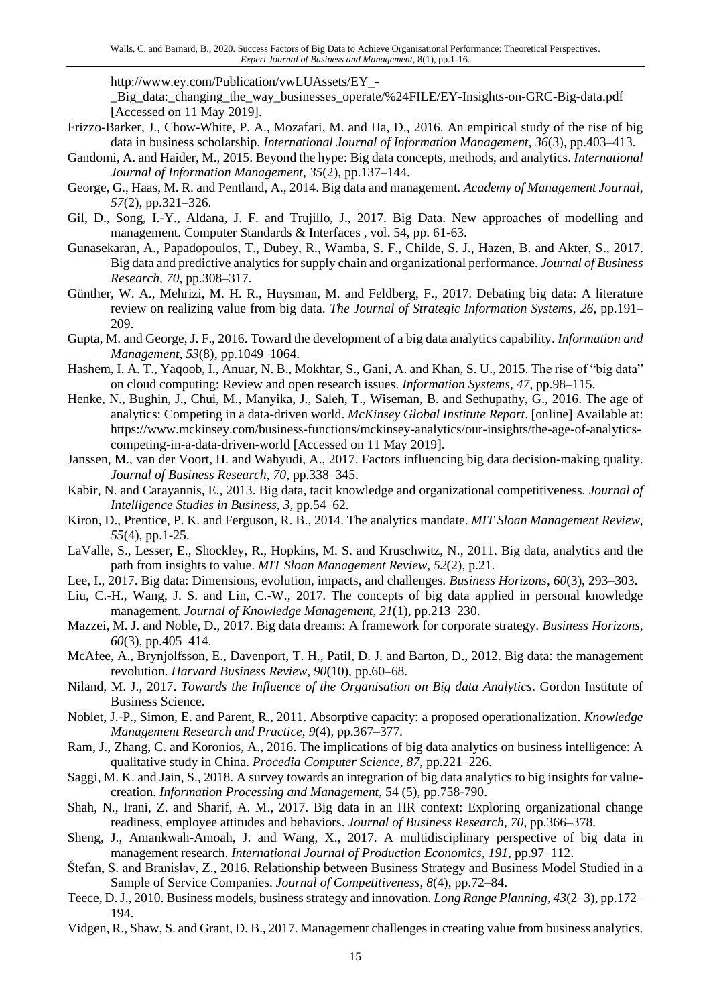http://www.ey.com/Publication/vwLUAssets/EY\_-

\_Big\_data:\_changing\_the\_way\_businesses\_operate/%24FILE/EY-Insights-on-GRC-Big-data.pdf [Accessed on 11 May 2019].

- Frizzo-Barker, J., Chow-White, P. A., Mozafari, M. and Ha, D., 2016. An empirical study of the rise of big data in business scholarship. *International Journal of Information Management*, *36*(3), pp.403–413.
- Gandomi, A. and Haider, M., 2015. Beyond the hype: Big data concepts, methods, and analytics. *International Journal of Information Management*, *35*(2), pp.137–144.
- George, G., Haas, M. R. and Pentland, A., 2014. Big data and management. *Academy of Management Journal*, *57*(2), pp.321–326.
- Gil, D., Song, I.-Y., Aldana, J. F. and Trujillo, J., 2017. Big Data. New approaches of modelling and management. Computer Standards & Interfaces , vol. 54, pp. 61-63.
- Gunasekaran, A., Papadopoulos, T., Dubey, R., Wamba, S. F., Childe, S. J., Hazen, B. and Akter, S., 2017. Big data and predictive analytics for supply chain and organizational performance. *Journal of Business Research*, *70*, pp.308–317.
- Günther, W. A., Mehrizi, M. H. R., Huysman, M. and Feldberg, F., 2017. Debating big data: A literature review on realizing value from big data. *The Journal of Strategic Information Systems*, *26*, pp.191– 209.
- Gupta, M. and George, J. F., 2016. Toward the development of a big data analytics capability. *Information and Management*, *53*(8), pp.1049–1064.
- Hashem, I. A. T., Yaqoob, I., Anuar, N. B., Mokhtar, S., Gani, A. and Khan, S. U., 2015. The rise of "big data" on cloud computing: Review and open research issues. *Information Systems*, *47*, pp.98–115.
- Henke, N., Bughin, J., Chui, M., Manyika, J., Saleh, T., Wiseman, B. and Sethupathy, G., 2016. The age of analytics: Competing in a data-driven world. *McKinsey Global Institute Report*. [online] Available at: https://www.mckinsey.com/business-functions/mckinsey-analytics/our-insights/the-age-of-analyticscompeting-in-a-data-driven-world [Accessed on 11 May 2019].
- Janssen, M., van der Voort, H. and Wahyudi, A., 2017. Factors influencing big data decision-making quality. *Journal of Business Research*, *70*, pp.338–345.
- Kabir, N. and Carayannis, E., 2013. Big data, tacit knowledge and organizational competitiveness. *Journal of Intelligence Studies in Business*, *3*, pp.54–62.
- Kiron, D., Prentice, P. K. and Ferguson, R. B., 2014. The analytics mandate. *MIT Sloan Management Review*, *55*(4), pp.1-25.
- LaValle, S., Lesser, E., Shockley, R., Hopkins, M. S. and Kruschwitz, N., 2011. Big data, analytics and the path from insights to value. *MIT Sloan Management Review*, *52*(2), p.21.
- Lee, I., 2017. Big data: Dimensions, evolution, impacts, and challenges. *Business Horizons*, *60*(3), 293–303.
- Liu, C.-H., Wang, J. S. and Lin, C.-W., 2017. The concepts of big data applied in personal knowledge management. *Journal of Knowledge Management*, *21*(1), pp.213–230.
- Mazzei, M. J. and Noble, D., 2017. Big data dreams: A framework for corporate strategy. *Business Horizons*, *60*(3), pp.405–414.
- McAfee, A., Brynjolfsson, E., Davenport, T. H., Patil, D. J. and Barton, D., 2012. Big data: the management revolution. *Harvard Business Review*, *90*(10), pp.60–68.
- Niland, M. J., 2017. *Towards the Influence of the Organisation on Big data Analytics*. Gordon Institute of Business Science.
- Noblet, J.-P., Simon, E. and Parent, R., 2011. Absorptive capacity: a proposed operationalization. *Knowledge Management Research and Practice*, *9*(4), pp.367–377.
- Ram, J., Zhang, C. and Koronios, A., 2016. The implications of big data analytics on business intelligence: A qualitative study in China. *Procedia Computer Science*, *87*, pp.221–226.
- Saggi, M. K. and Jain, S., 2018. A survey towards an integration of big data analytics to big insights for valuecreation. *Information Processing and Management*, 54 (5), pp.758-790.
- Shah, N., Irani, Z. and Sharif, A. M., 2017. Big data in an HR context: Exploring organizational change readiness, employee attitudes and behaviors. *Journal of Business Research*, *70*, pp.366–378.
- Sheng, J., Amankwah-Amoah, J. and Wang, X., 2017. A multidisciplinary perspective of big data in management research. *International Journal of Production Economics*, *191*, pp.97–112.
- Štefan, S. and Branislav, Z., 2016. Relationship between Business Strategy and Business Model Studied in a Sample of Service Companies. *Journal of Competitiveness*, *8*(4), pp.72–84.
- Teece, D. J., 2010. Business models, business strategy and innovation. *Long Range Planning*, *43*(2–3), pp.172– 194.
- Vidgen, R., Shaw, S. and Grant, D. B., 2017. Management challenges in creating value from business analytics.